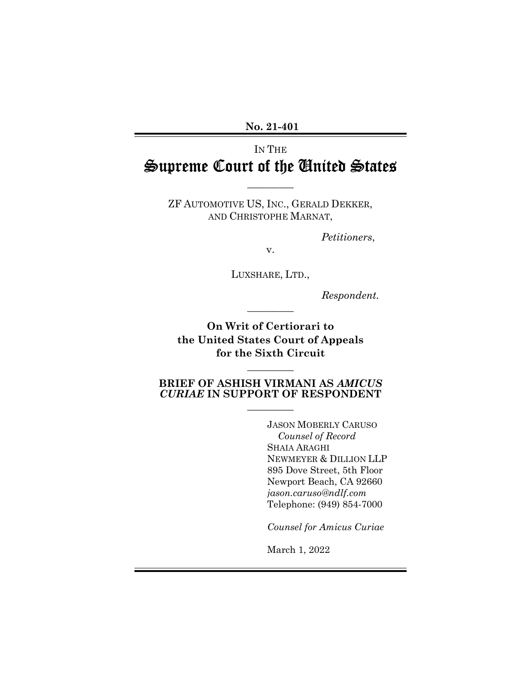**No. 21-401**

## IN THE Supreme Court of the United States

 $\overline{\phantom{a}}$ 

ZF AUTOMOTIVE US, INC., GERALD DEKKER, AND CHRISTOPHE MARNAT,

*Petitioners*,

v.

LUXSHARE, LTD.,

*Respondent.*

**On Writ of Certiorari to the United States Court of Appeals for the Sixth Circuit** 

 $\overline{\phantom{a}}$ 

#### **BRIEF OF ASHISH VIRMANI AS** *AMICUS CURIAE* **IN SUPPORT OF RESPONDENT**  $\overline{\phantom{a}}$

 $\overline{\phantom{a}}$ 

JASON MOBERLY CARUSO *Counsel of Record* SHAIA ARAGHI NEWMEYER & DILLION LLP 895 Dove Street, 5th Floor Newport Beach, CA 92660 *jason.caruso@ndlf.com* Telephone: (949) 854-7000

*Counsel for Amicus Curiae*

March 1, 2022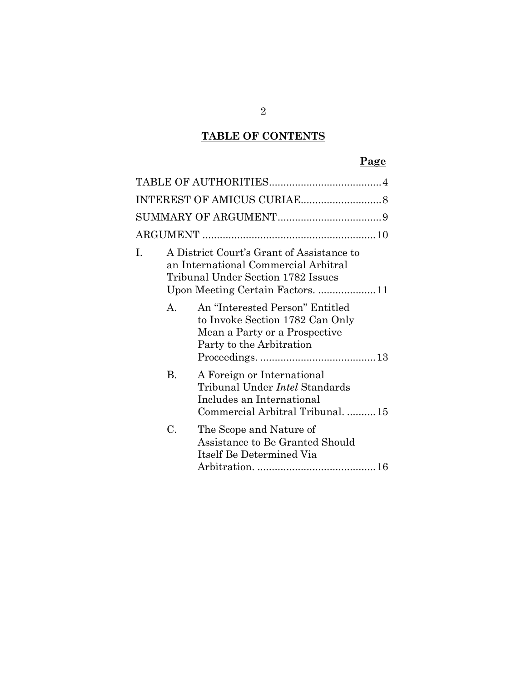## **TABLE OF CONTENTS**

## **Page**

| I. |                | A District Court's Grant of Assistance to<br>an International Commercial Arbitral<br>Tribunal Under Section 1782 Issues<br>Upon Meeting Certain Factors. 11 |  |  |
|----|----------------|-------------------------------------------------------------------------------------------------------------------------------------------------------------|--|--|
|    | $\mathsf{A}$ . | An "Interested Person" Entitled<br>to Invoke Section 1782 Can Only<br>Mean a Party or a Prospective<br>Party to the Arbitration                             |  |  |
|    | В.             | A Foreign or International<br>Tribunal Under <i>Intel</i> Standards<br>Includes an International<br>Commercial Arbitral Tribunal.  15                       |  |  |
|    | C.             | The Scope and Nature of<br>Assistance to Be Granted Should<br>Itself Be Determined Via                                                                      |  |  |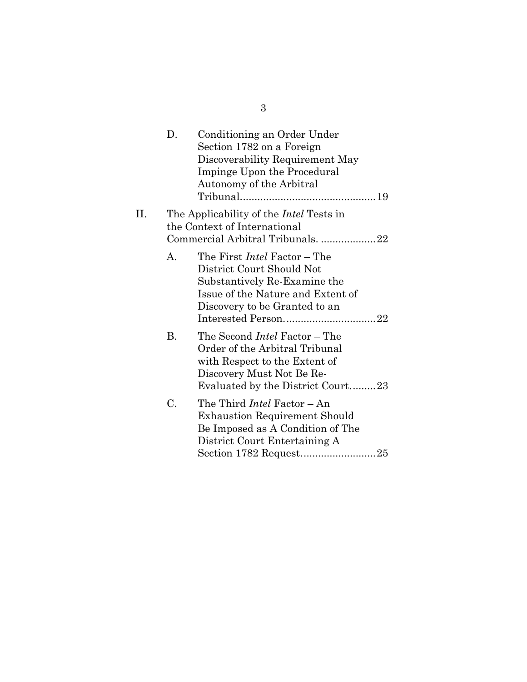|     | D. | Conditioning an Order Under<br>Section 1782 on a Foreign<br>Discoverability Requirement May<br>Impinge Upon the Procedural<br>Autonomy of the Arbitral                    |
|-----|----|---------------------------------------------------------------------------------------------------------------------------------------------------------------------------|
| II. |    | The Applicability of the <i>Intel</i> Tests in<br>the Context of International<br>Commercial Arbitral Tribunals. 22                                                       |
|     | А. | The First <i>Intel</i> Factor – The<br>District Court Should Not<br>Substantively Re-Examine the<br>Issue of the Nature and Extent of<br>Discovery to be Granted to an    |
|     | В. | The Second <i>Intel</i> Factor – The<br>Order of the Arbitral Tribunal<br>with Respect to the Extent of<br>Discovery Must Not Be Re-<br>Evaluated by the District Court23 |
|     | C. | The Third <i>Intel</i> Factor - An<br><b>Exhaustion Requirement Should</b><br>Be Imposed as A Condition of The<br>District Court Entertaining A                           |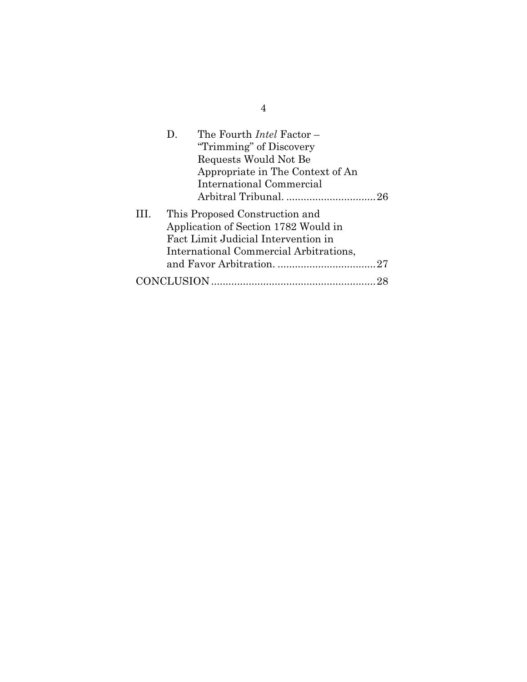|      | The Fourth <i>Intel</i> Factor –<br>$D_{\rm{L}}$<br>"Trimming" of Discovery<br>Requests Would Not Be<br>Appropriate in The Context of An<br>International Commercial |
|------|----------------------------------------------------------------------------------------------------------------------------------------------------------------------|
| III. | This Proposed Construction and<br>Application of Section 1782 Would in<br>Fact Limit Judicial Intervention in<br>International Commercial Arbitrations,              |
|      |                                                                                                                                                                      |
|      |                                                                                                                                                                      |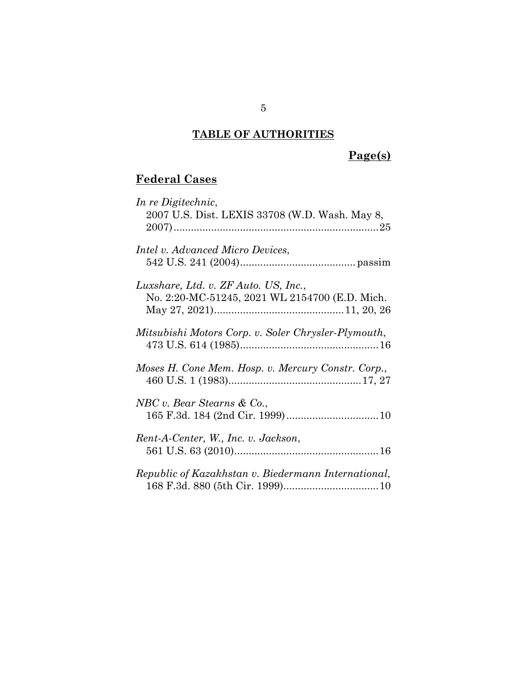## **TABLE OF AUTHORITIES**

## **Page(s)**

# **Federal Cases**

| In re Digitechnic,                                  |
|-----------------------------------------------------|
| 2007 U.S. Dist. LEXIS 33708 (W.D. Wash. May 8,      |
|                                                     |
| <i>Intel v. Advanced Micro Devices,</i>             |
|                                                     |
| Luxshare, Ltd. v. ZF Auto. US, Inc.,                |
| No. 2:20-MC-51245, 2021 WL 2154700 (E.D. Mich.      |
| Mitsubishi Motors Corp. v. Soler Chrysler-Plymouth, |
|                                                     |
| Moses H. Cone Mem. Hosp. v. Mercury Constr. Corp.,  |
|                                                     |
| NBC v. Bear Stearns & Co.,                          |
|                                                     |
| Rent-A-Center, W., Inc. v. Jackson,                 |
|                                                     |
| Republic of Kazakhstan v. Biedermann International, |
|                                                     |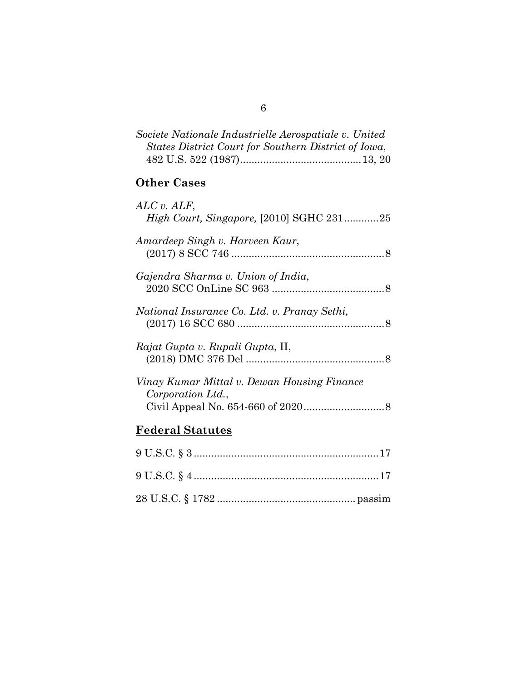| Societe Nationale Industrielle Aerospatiale v. United |  |
|-------------------------------------------------------|--|
| States District Court for Southern District of Iowa,  |  |
|                                                       |  |

## **Other Cases**

| ALC v. ALF,                                  |  |
|----------------------------------------------|--|
| High Court, Singapore, [2010] SGHC 23125     |  |
|                                              |  |
| Amardeep Singh v. Harveen Kaur,              |  |
|                                              |  |
| Gajendra Sharma v. Union of India,           |  |
|                                              |  |
|                                              |  |
| National Insurance Co. Ltd. v. Pranay Sethi, |  |
|                                              |  |
|                                              |  |
| Rajat Gupta v. Rupali Gupta, II,             |  |
|                                              |  |
|                                              |  |
| Vinay Kumar Mittal v. Dewan Housing Finance  |  |
| Corporation Ltd.,                            |  |
|                                              |  |
|                                              |  |
| Federal Statutes                             |  |

### **Federal Statutes**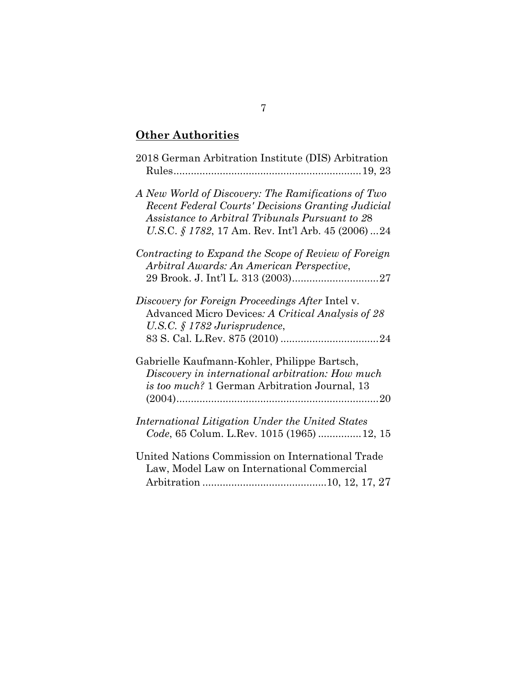## **Other Authorities**

| 2018 German Arbitration Institute (DIS) Arbitration                                                                                                                                                                  |
|----------------------------------------------------------------------------------------------------------------------------------------------------------------------------------------------------------------------|
| A New World of Discovery: The Ramifications of Two<br>Recent Federal Courts' Decisions Granting Judicial<br>Assistance to Arbitral Tribunals Pursuant to 28<br>U.S.C. $\S 1782$ , 17 Am. Rev. Int'l Arb. 45 (2006)24 |
| Contracting to Expand the Scope of Review of Foreign<br>Arbitral Awards: An American Perspective,                                                                                                                    |
|                                                                                                                                                                                                                      |
| Discovery for Foreign Proceedings After Intel v.<br>Advanced Micro Devices: A Critical Analysis of 28<br>U.S.C. $\S$ 1782 Jurisprudence,                                                                             |
| Gabrielle Kaufmann-Kohler, Philippe Bartsch,<br>Discovery in international arbitration: How much<br><i>is too much?</i> 1 German Arbitration Journal, 13                                                             |
| International Litigation Under the United States<br>Code, 65 Colum. L.Rev. 1015 (1965)  12, 15                                                                                                                       |
| United Nations Commission on International Trade<br>Law, Model Law on International Commercial                                                                                                                       |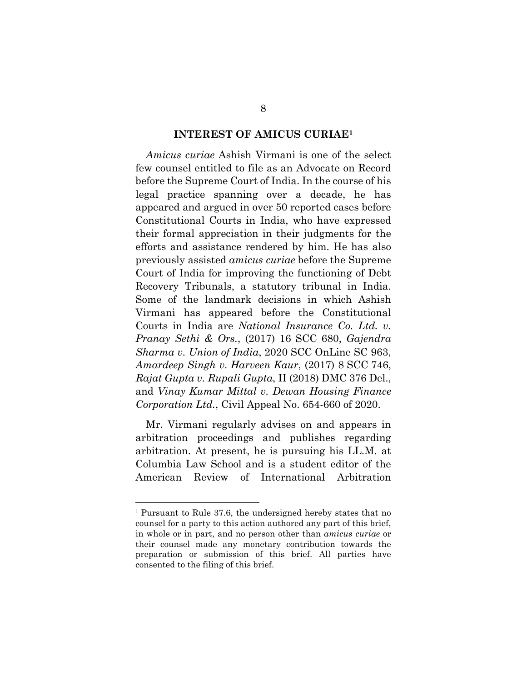#### **INTEREST OF AMICUS CURIAE<sup>1</sup>**

*Amicus curiae* Ashish Virmani is one of the select few counsel entitled to file as an Advocate on Record before the Supreme Court of India. In the course of his legal practice spanning over a decade, he has appeared and argued in over 50 reported cases before Constitutional Courts in India, who have expressed their formal appreciation in their judgments for the efforts and assistance rendered by him. He has also previously assisted *amicus curiae* before the Supreme Court of India for improving the functioning of Debt Recovery Tribunals, a statutory tribunal in India. Some of the landmark decisions in which Ashish Virmani has appeared before the Constitutional Courts in India are *National Insurance Co. Ltd. v. Pranay Sethi & Ors.*, (2017) 16 SCC 680, *Gajendra Sharma v. Union of India*, 2020 SCC OnLine SC 963, *Amardeep Singh v. Harveen Kaur*, (2017) 8 SCC 746, *Rajat Gupta v. Rupali Gupta*, II (2018) DMC 376 Del., and *Vinay Kumar Mittal v. Dewan Housing Finance Corporation Ltd.*, Civil Appeal No. 654-660 of 2020.

Mr. Virmani regularly advises on and appears in arbitration proceedings and publishes regarding arbitration. At present, he is pursuing his LL.M. at Columbia Law School and is a student editor of the American Review of International Arbitration

 $\overline{a}$ 

<sup>1</sup> Pursuant to Rule 37.6, the undersigned hereby states that no counsel for a party to this action authored any part of this brief, in whole or in part, and no person other than *amicus curiae* or their counsel made any monetary contribution towards the preparation or submission of this brief. All parties have consented to the filing of this brief.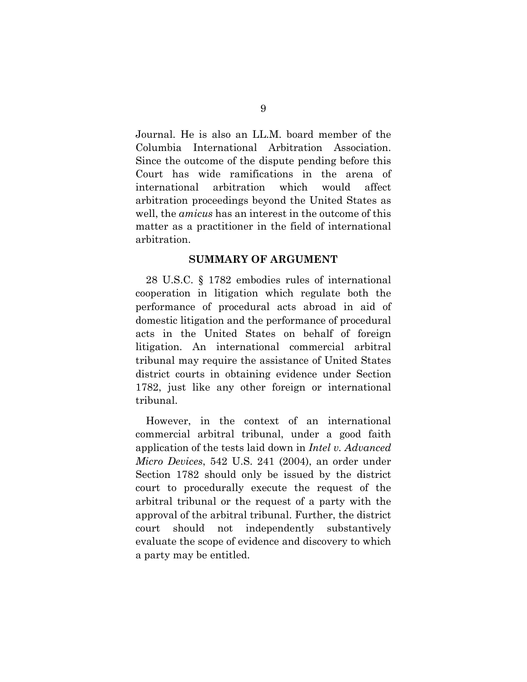Journal. He is also an LL.M. board member of the Columbia International Arbitration Association. Since the outcome of the dispute pending before this Court has wide ramifications in the arena of international arbitration which would affect arbitration proceedings beyond the United States as well, the *amicus* has an interest in the outcome of this matter as a practitioner in the field of international arbitration.

#### **SUMMARY OF ARGUMENT**

28 U.S.C. § 1782 embodies rules of international cooperation in litigation which regulate both the performance of procedural acts abroad in aid of domestic litigation and the performance of procedural acts in the United States on behalf of foreign litigation. An international commercial arbitral tribunal may require the assistance of United States district courts in obtaining evidence under Section 1782, just like any other foreign or international tribunal.

However, in the context of an international commercial arbitral tribunal, under a good faith application of the tests laid down in *Intel v. Advanced Micro Devices*, 542 U.S. 241 (2004), an order under Section 1782 should only be issued by the district court to procedurally execute the request of the arbitral tribunal or the request of a party with the approval of the arbitral tribunal. Further, the district court should not independently substantively evaluate the scope of evidence and discovery to which a party may be entitled.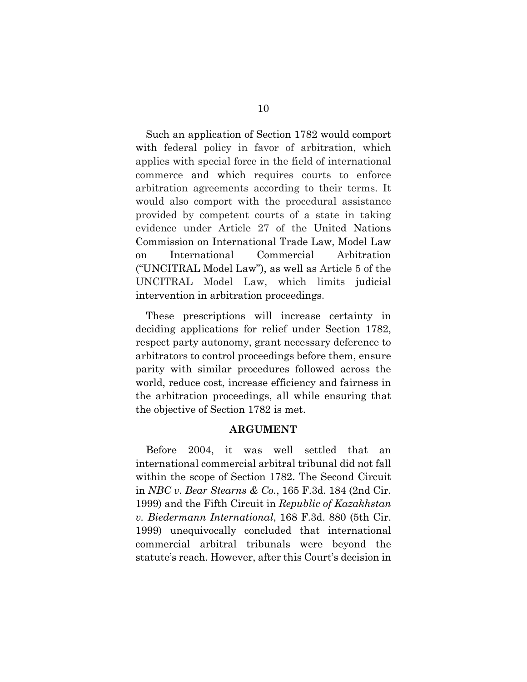Such an application of Section 1782 would comport with federal policy in favor of arbitration, which applies with special force in the field of international commerce and which requires courts to enforce arbitration agreements according to their terms. It would also comport with the procedural assistance provided by competent courts of a state in taking evidence under Article 27 of the United Nations Commission on International Trade Law, Model Law on International Commercial Arbitration ("UNCITRAL Model Law"), as well as Article 5 of the UNCITRAL Model Law, which limits judicial intervention in arbitration proceedings.

These prescriptions will increase certainty in deciding applications for relief under Section 1782, respect party autonomy, grant necessary deference to arbitrators to control proceedings before them, ensure parity with similar procedures followed across the world, reduce cost, increase efficiency and fairness in the arbitration proceedings, all while ensuring that the objective of Section 1782 is met.

#### **ARGUMENT**

Before 2004, it was well settled that an international commercial arbitral tribunal did not fall within the scope of Section 1782. The Second Circuit in *NBC v. Bear Stearns & Co.*, 165 F.3d. 184 (2nd Cir. 1999) and the Fifth Circuit in *Republic of Kazakhstan v. Biedermann International*, 168 F.3d. 880 (5th Cir. 1999) unequivocally concluded that international commercial arbitral tribunals were beyond the statute's reach. However, after this Court's decision in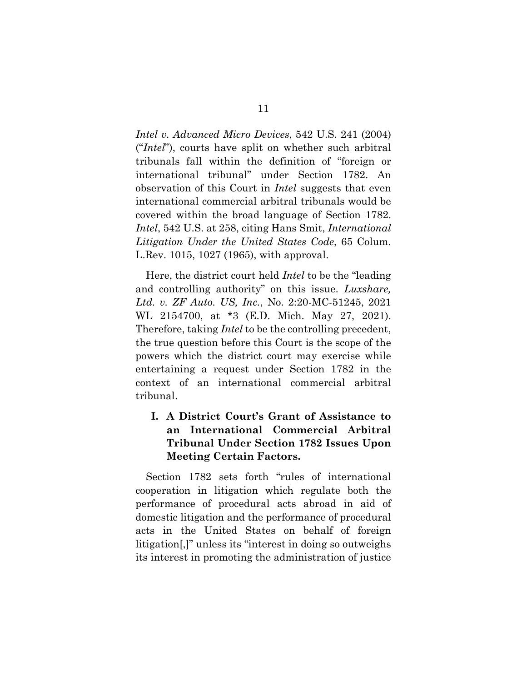*Intel v. Advanced Micro Devices*, 542 U.S. 241 (2004) ("*Intel*"), courts have split on whether such arbitral tribunals fall within the definition of "foreign or international tribunal" under Section 1782. An observation of this Court in *Intel* suggests that even international commercial arbitral tribunals would be covered within the broad language of Section 1782. *Intel*, 542 U.S. at 258, citing Hans Smit, *International Litigation Under the United States Code*, 65 Colum. L.Rev. 1015, 1027 (1965), with approval.

Here, the district court held *Intel* to be the "leading and controlling authority" on this issue. *Luxshare, Ltd. v. ZF Auto. US, Inc.*, No. 2:20-MC-51245, 2021 WL 2154700, at \*3 (E.D. Mich. May 27, 2021). Therefore, taking *Intel* to be the controlling precedent, the true question before this Court is the scope of the powers which the district court may exercise while entertaining a request under Section 1782 in the context of an international commercial arbitral tribunal.

## **I. A District Court's Grant of Assistance to an International Commercial Arbitral Tribunal Under Section 1782 Issues Upon Meeting Certain Factors.**

Section 1782 sets forth "rules of international cooperation in litigation which regulate both the performance of procedural acts abroad in aid of domestic litigation and the performance of procedural acts in the United States on behalf of foreign litigation[,]" unless its "interest in doing so outweighs its interest in promoting the administration of justice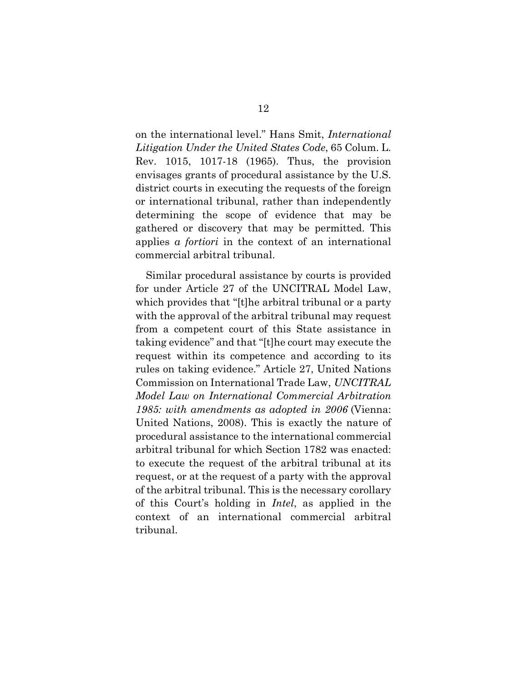on the international level." Hans Smit, *International Litigation Under the United States Code*, 65 Colum. L. Rev. 1015, 1017-18 (1965). Thus, the provision envisages grants of procedural assistance by the U.S. district courts in executing the requests of the foreign or international tribunal, rather than independently determining the scope of evidence that may be gathered or discovery that may be permitted. This applies *a fortiori* in the context of an international commercial arbitral tribunal.

Similar procedural assistance by courts is provided for under Article 27 of the UNCITRAL Model Law, which provides that "[t]he arbitral tribunal or a party with the approval of the arbitral tribunal may request from a competent court of this State assistance in taking evidence" and that "[t]he court may execute the request within its competence and according to its rules on taking evidence." Article 27, United Nations Commission on International Trade Law, *UNCITRAL Model Law on International Commercial Arbitration 1985: with amendments as adopted in 2006* (Vienna: United Nations, 2008). This is exactly the nature of procedural assistance to the international commercial arbitral tribunal for which Section 1782 was enacted: to execute the request of the arbitral tribunal at its request, or at the request of a party with the approval of the arbitral tribunal. This is the necessary corollary of this Court's holding in *Intel*, as applied in the context of an international commercial arbitral tribunal.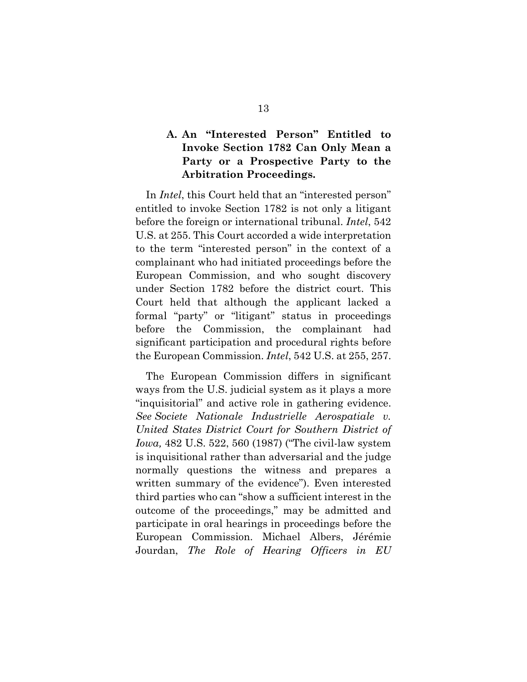### **A. An "Interested Person" Entitled to Invoke Section 1782 Can Only Mean a Party or a Prospective Party to the Arbitration Proceedings.**

In *Intel*, this Court held that an "interested person" entitled to invoke Section 1782 is not only a litigant before the foreign or international tribunal. *Intel*, 542 U.S. at 255. This Court accorded a wide interpretation to the term "interested person" in the context of a complainant who had initiated proceedings before the European Commission, and who sought discovery under Section 1782 before the district court. This Court held that although the applicant lacked a formal "party" or "litigant" status in proceedings before the Commission, the complainant had significant participation and procedural rights before the European Commission. *Intel*, 542 U.S. at 255, 257.

The European Commission differs in significant ways from the U.S. judicial system as it plays a more "inquisitorial" and active role in gathering evidence. *See Societe Nationale Industrielle Aerospatiale v. United States District Court for Southern District of Iowa,* 482 U.S. 522, 560 (1987) ("The civil-law system is inquisitional rather than adversarial and the judge normally questions the witness and prepares a written summary of the evidence"). Even interested third parties who can "show a sufficient interest in the outcome of the proceedings," may be admitted and participate in oral hearings in proceedings before the European Commission. Michael Albers, Jérémie Jourdan, *The Role of Hearing Officers in EU*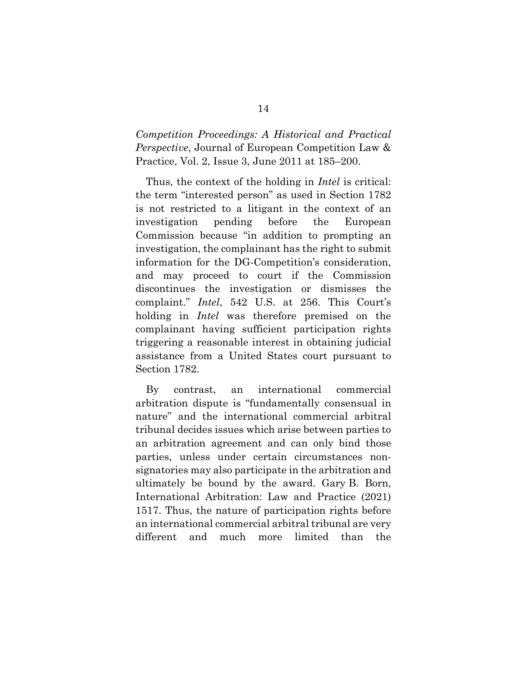*Competition Proceedings: A Historical and Practical Perspective*, Journal of European Competition Law & Practice, Vol. 2, Issue 3, June 2011 at 185–200.

Thus, the context of the holding in *Intel* is critical: the term "interested person" as used in Section 1782 is not restricted to a litigant in the context of an investigation pending before the European Commission because "in addition to prompting an investigation, the complainant has the right to submit information for the DG-Competition's consideration, and may proceed to court if the Commission discontinues the investigation or dismisses the complaint." *Intel*, 542 U.S. at 256. This Court's holding in *Intel* was therefore premised on the complainant having sufficient participation rights triggering a reasonable interest in obtaining judicial assistance from a United States court pursuant to Section 1782.

By contrast, an international commercial arbitration dispute is "fundamentally consensual in nature" and the international commercial arbitral tribunal decides issues which arise between parties to an arbitration agreement and can only bind those parties, unless under certain circumstances nonsignatories may also participate in the arbitration and ultimately be bound by the award. Gary B. Born, International Arbitration: Law and Practice (2021) 1517. Thus, the nature of participation rights before an international commercial arbitral tribunal are very different and much more limited than the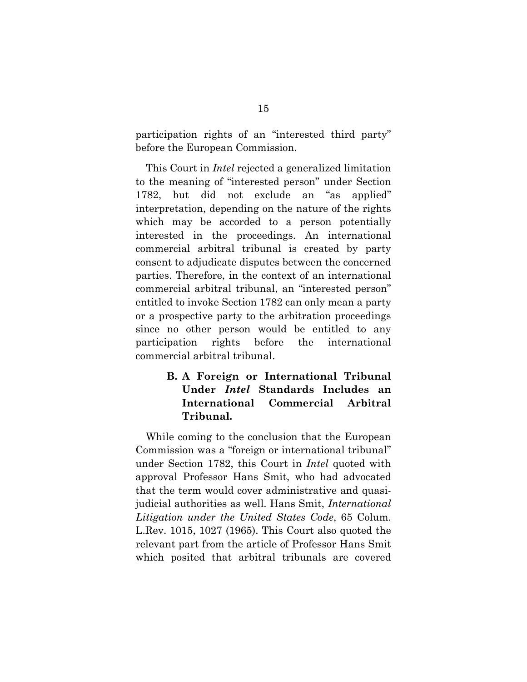participation rights of an "interested third party" before the European Commission.

This Court in *Intel* rejected a generalized limitation to the meaning of "interested person" under Section 1782, but did not exclude an "as applied" interpretation, depending on the nature of the rights which may be accorded to a person potentially interested in the proceedings. An international commercial arbitral tribunal is created by party consent to adjudicate disputes between the concerned parties. Therefore, in the context of an international commercial arbitral tribunal, an "interested person" entitled to invoke Section 1782 can only mean a party or a prospective party to the arbitration proceedings since no other person would be entitled to any participation rights before the international commercial arbitral tribunal.

### **B. A Foreign or International Tribunal Under** *Intel* **Standards Includes an International Commercial Arbitral Tribunal.**

While coming to the conclusion that the European Commission was a "foreign or international tribunal" under Section 1782, this Court in *Intel* quoted with approval Professor Hans Smit, who had advocated that the term would cover administrative and quasijudicial authorities as well. Hans Smit, *International Litigation under the United States Code*, 65 Colum. L.Rev. 1015, 1027 (1965). This Court also quoted the relevant part from the article of Professor Hans Smit which posited that arbitral tribunals are covered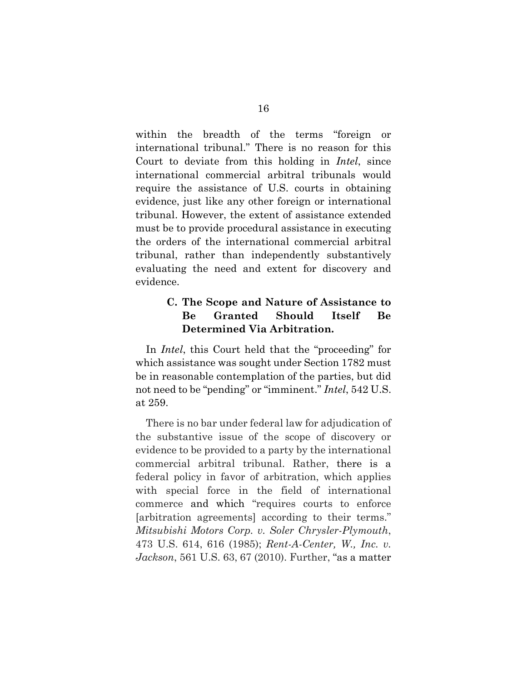within the breadth of the terms "foreign or international tribunal." There is no reason for this Court to deviate from this holding in *Intel*, since international commercial arbitral tribunals would require the assistance of U.S. courts in obtaining evidence, just like any other foreign or international tribunal. However, the extent of assistance extended must be to provide procedural assistance in executing the orders of the international commercial arbitral tribunal, rather than independently substantively evaluating the need and extent for discovery and evidence.

### **C. The Scope and Nature of Assistance to Be Granted Should Itself Be Determined Via Arbitration.**

In *Intel*, this Court held that the "proceeding" for which assistance was sought under Section 1782 must be in reasonable contemplation of the parties, but did not need to be "pending" or "imminent." *Intel*, 542 U.S. at 259.

There is no bar under federal law for adjudication of the substantive issue of the scope of discovery or evidence to be provided to a party by the international commercial arbitral tribunal. Rather, there is a federal policy in favor of arbitration, which applies with special force in the field of international commerce [and which "requires courts to enforce](https://plus.lexis.com/api/document/collection/cases/id/3S4X-9WR0-0039-N476-00000-00?page=4&reporter=1290&cite=473%20U.S.%20614&context=1530671)  [arbitration agreements] according to their terms." *Mitsubishi Motors Corp. v. Soler Chrysler-Plymouth*, 473 U.S. 614, 616 (1985); *Rent-A-Center, W., Inc. v. Jackson*, 561 U.S. 63, 67 (2010). Further, "as a matter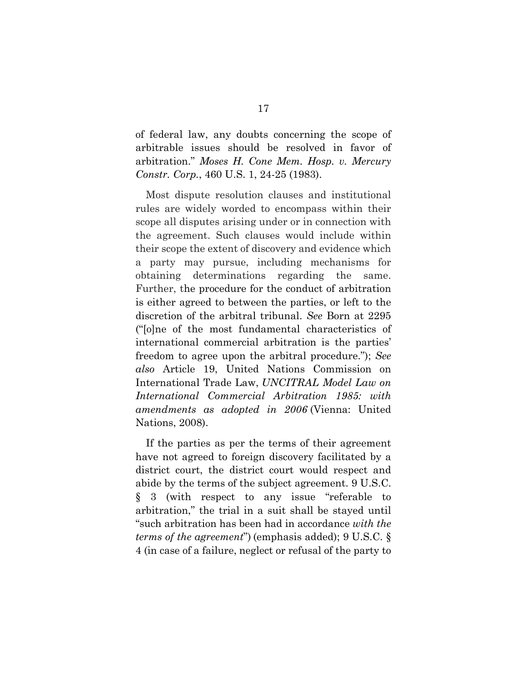of federal law, any doubts concerning the scope of arbitrable issues should be resolved in favor of arbitration." *Moses H. Cone Mem. Hosp. v. Mercury Constr. Corp.*, 460 U.S. 1, 24-25 (1983).

Most dispute resolution clauses and institutional rules are widely worded to encompass within their scope all disputes arising under or in connection with the agreement. Such clauses would include within their scope the extent of discovery and evidence which a party may pursue, including mechanisms for obtaining determinations regarding the same. Further, the procedure for the conduct of arbitration is either agreed to between the parties, or left to the discretion of the arbitral tribunal. *See* Born at 2295 ("[o]ne of the most fundamental characteristics of international commercial arbitration is the parties' freedom to agree upon the arbitral procedure."); *See also* Article 19, United Nations Commission on International Trade Law, *UNCITRAL Model Law on International Commercial Arbitration 1985: with amendments as adopted in 2006* (Vienna: United Nations, 2008).

If the parties as per the terms of their agreement have not agreed to foreign discovery facilitated by a district court, the district court would respect and abide by the terms of the subject agreement. 9 U.S.C. § 3 (with respect to any issue "referable to arbitration," the trial in a suit shall be stayed until "such arbitration has been had in accordance *with the terms of the agreement*") (emphasis added); 9 U.S.C. § 4 (in case of a failure, neglect or refusal of the party to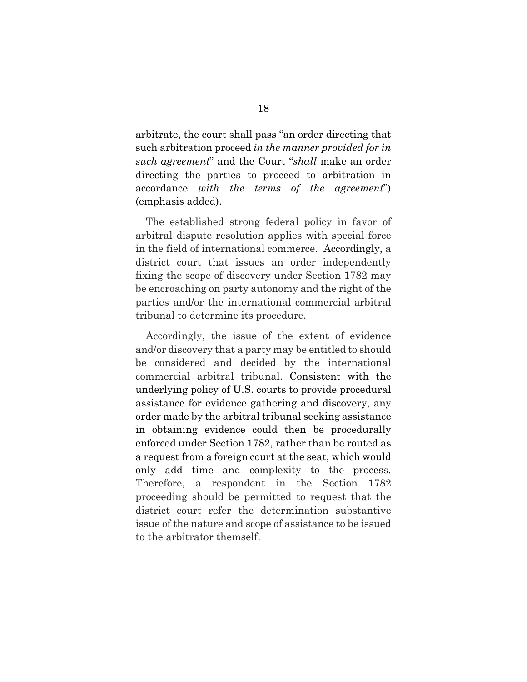arbitrate, the court shall pass "an order directing that such arbitration proceed *in the manner provided for in such agreement*" and the Court "*shall* make an order directing the parties to proceed to arbitration in accordance *with the terms of the agreement*") (emphasis added).

The established strong federal policy in favor of arbitral dispute resolution applies with special force in the field of international commerce. Accordingly, a district court that issues an order independently fixing the scope of discovery under Section 1782 may be encroaching on party autonomy and the right of the parties and/or the international commercial arbitral tribunal to determine its procedure.

Accordingly, the issue of the extent of evidence and/or discovery that a party may be entitled to should be considered and decided by the international commercial arbitral tribunal. Consistent with the underlying policy of U.S. courts to provide procedural assistance for evidence gathering and discovery, any order made by the arbitral tribunal seeking assistance in obtaining evidence could then be procedurally enforced under Section 1782, rather than be routed as a request from a foreign court at the seat, which would only add time and complexity to the process. Therefore, a respondent in the Section 1782 proceeding should be permitted to request that the district court refer the determination substantive issue of the nature and scope of assistance to be issued to the arbitrator themself.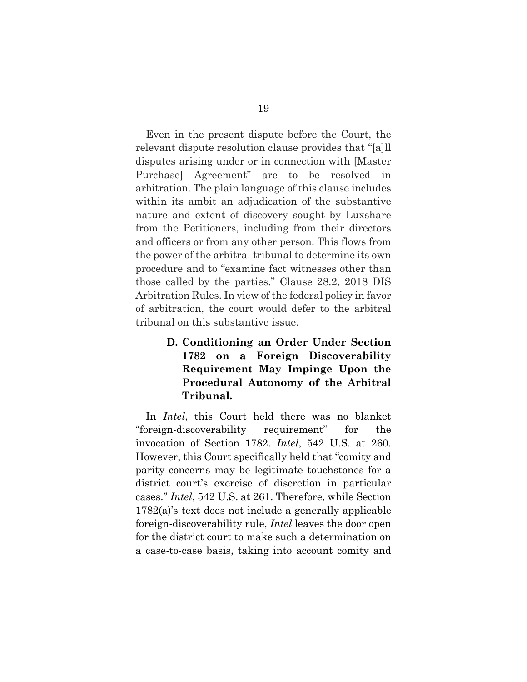Even in the present dispute before the Court, the relevant dispute resolution clause provides that "[a]ll disputes arising under or in connection with [Master Purchase] Agreement" are to be resolved in arbitration. The plain language of this clause includes within its ambit an adjudication of the substantive nature and extent of discovery sought by Luxshare from the Petitioners, including from their directors and officers or from any other person. This flows from the power of the arbitral tribunal to determine its own procedure and to "examine fact witnesses other than those called by the parties." Clause 28.2, 2018 DIS Arbitration Rules. In view of the federal policy in favor of arbitration, the court would defer to the arbitral tribunal on this substantive issue.

> **D. Conditioning an Order Under Section 1782 on a Foreign Discoverability Requirement May Impinge Upon the Procedural Autonomy of the Arbitral Tribunal.**

In *Intel*, this Court held there was no blanket "foreign-discoverability requirement" for the invocation of Section 1782. *Intel*, 542 U.S. at 260. However, this Court specifically held that "comity and parity concerns may be legitimate touchstones for a district court's exercise of discretion in particular cases." *Intel*, 542 U.S. at 261. Therefore, while Section 1782(a)'s text does not include a generally applicable foreign-discoverability rule, *Intel* leaves the door open for the district court to make such a determination on a case-to-case basis, taking into account comity and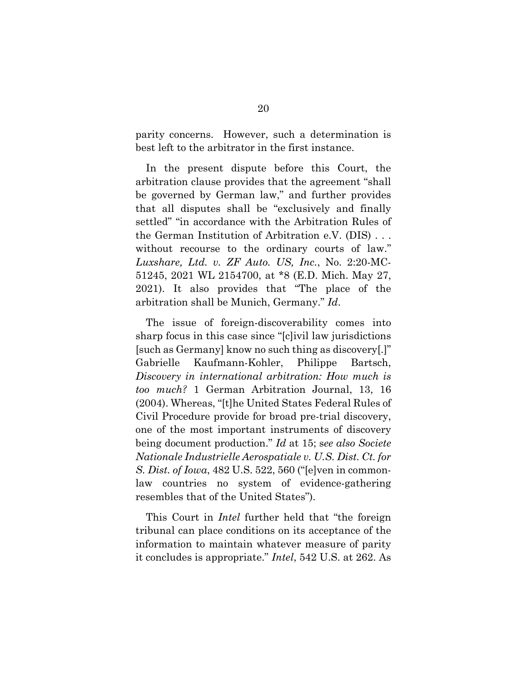parity concerns. However, such a determination is best left to the arbitrator in the first instance.

In the present dispute before this Court, the arbitration clause provides that the agreement "shall be governed by German law," and further provides that all disputes shall be "exclusively and finally settled" "in accordance with the Arbitration Rules of the German Institution of Arbitration e.V. (DIS) . . . without recourse to the ordinary courts of law." *Luxshare, Ltd. v. ZF Auto. US, Inc.*, No. 2:20-MC-51245, 2021 WL 2154700, at \*8 (E.D. Mich. May 27, 2021). It also provides that "The place of the arbitration shall be Munich, Germany." *Id*.

The issue of foreign-discoverability comes into sharp focus in this case since "[c]ivil law jurisdictions [such as Germany] know no such thing as discovery[.]" Gabrielle Kaufmann-Kohler, Philippe Bartsch, *Discovery in international arbitration: How much is too much?* 1 German Arbitration Journal, 13, 16 (2004). Whereas, "[t]he United States Federal Rules of Civil Procedure provide for broad pre-trial discovery, one of the most important instruments of discovery being document production." *Id* at 15; s*ee also Societe Nationale Industrielle Aerospatiale v. U.S. Dist. Ct. for S. Dist. of Iowa*, 482 U.S. 522, 560 ("[e]ven in commonlaw countries no system of evidence-gathering resembles that of the United States").

This Court in *Intel* further held that "the foreign tribunal can place conditions on its acceptance of the information to maintain whatever measure of parity it concludes is appropriate." *Intel*, 542 U.S. at 262. As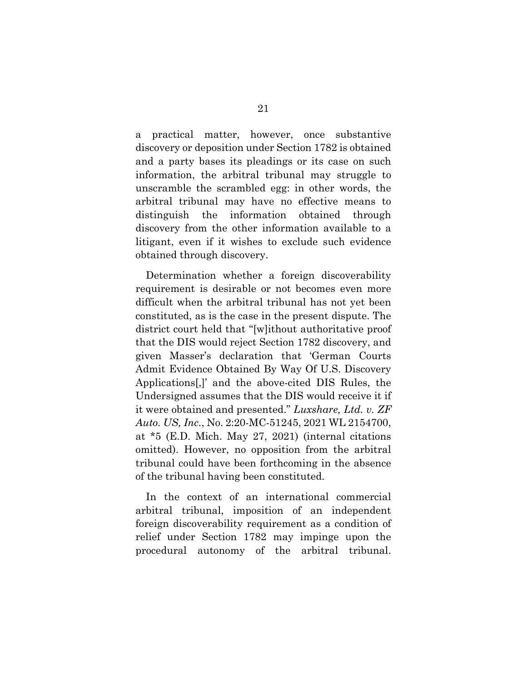a practical matter, however, once substantive discovery or deposition under Section 1782 is obtained and a party bases its pleadings or its case on such information, the arbitral tribunal may struggle to unscramble the scrambled egg: in other words, the arbitral tribunal may have no effective means to distinguish the information obtained through discovery from the other information available to a litigant, even if it wishes to exclude such evidence obtained through discovery.

Determination whether a foreign discoverability requirement is desirable or not becomes even more difficult when the arbitral tribunal has not yet been constituted, as is the case in the present dispute. The district court held that "[w]ithout authoritative proof that the DIS would reject Section 1782 discovery, and given Masser's declaration that 'German Courts Admit Evidence Obtained By Way Of U.S. Discovery Applications[,]' and the above-cited DIS Rules, the Undersigned assumes that the DIS would receive it if it were obtained and presented." *Luxshare, Ltd. v. ZF Auto. US, Inc.*, No. 2:20-MC-51245, 2021 WL 2154700, at \*5 (E.D. Mich. May 27, 2021) (internal citations omitted). However, no opposition from the arbitral tribunal could have been forthcoming in the absence of the tribunal having been constituted.

In the context of an international commercial arbitral tribunal, imposition of an independent foreign discoverability requirement as a condition of relief under Section 1782 may impinge upon the procedural autonomy of the arbitral tribunal.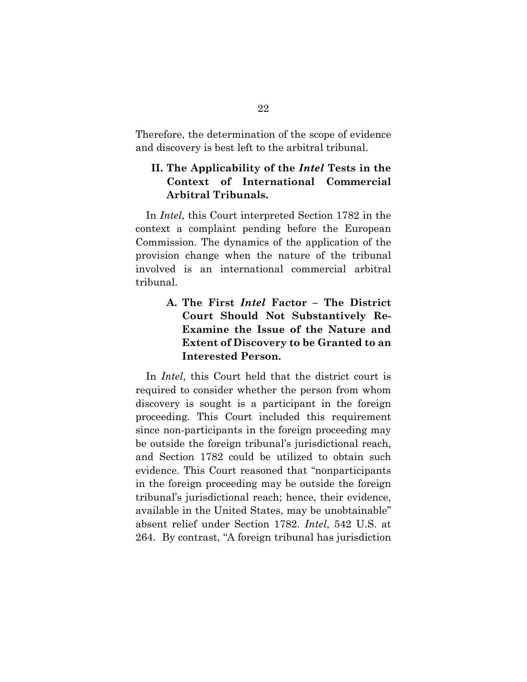Therefore, the determination of the scope of evidence and discovery is best left to the arbitral tribunal.

### **II. The Applicability of the** *Intel* **Tests in the Context of International Commercial Arbitral Tribunals.**

In *Intel*, this Court interpreted Section 1782 in the context a complaint pending before the European Commission. The dynamics of the application of the provision change when the nature of the tribunal involved is an international commercial arbitral tribunal.

> **A. The First** *Intel* **Factor – The District Court Should Not Substantively Re-Examine the Issue of the Nature and Extent of Discovery to be Granted to an Interested Person.**

In *Intel*, this Court held that the district court is required to consider whether the person from whom discovery is sought is a participant in the foreign proceeding. This Court included this requirement since non-participants in the foreign proceeding may be outside the foreign tribunal's jurisdictional reach, and Section 1782 could be utilized to obtain such evidence. This Court reasoned that "nonparticipants in the foreign proceeding may be outside the foreign tribunal's jurisdictional reach; hence, their evidence, available in the United States, may be unobtainable" absent relief under Section 1782. *Intel*, 542 U.S. at 264. By contrast, "A foreign tribunal has jurisdiction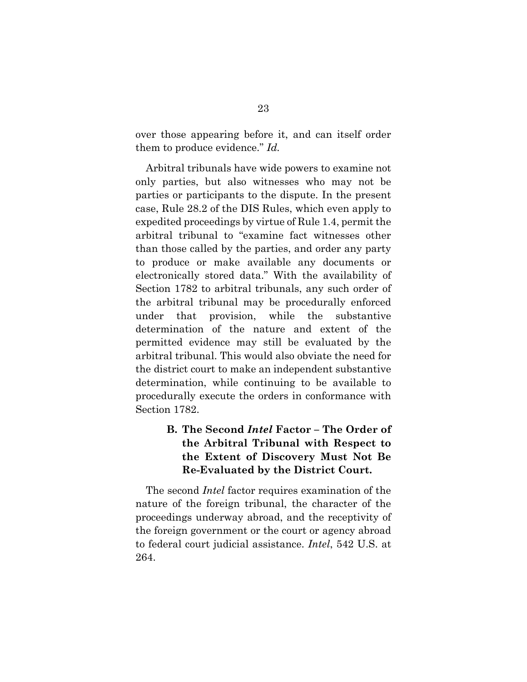over those appearing before it, and can itself order them to produce evidence." *Id.*

Arbitral tribunals have wide powers to examine not only parties, but also witnesses who may not be parties or participants to the dispute. In the present case, Rule 28.2 of the DIS Rules, which even apply to expedited proceedings by virtue of Rule 1.4, permit the arbitral tribunal to "examine fact witnesses other than those called by the parties, and order any party to produce or make available any documents or electronically stored data." With the availability of Section 1782 to arbitral tribunals, any such order of the arbitral tribunal may be procedurally enforced under that provision, while the substantive determination of the nature and extent of the permitted evidence may still be evaluated by the arbitral tribunal. This would also obviate the need for the district court to make an independent substantive determination, while continuing to be available to procedurally execute the orders in conformance with Section 1782.

## **B. The Second** *Intel* **Factor – The Order of the Arbitral Tribunal with Respect to the Extent of Discovery Must Not Be Re-Evaluated by the District Court.**

The second *Intel* factor requires examination of the nature of the foreign tribunal, the character of the proceedings underway abroad, and the receptivity of the foreign government or the court or agency abroad to federal court judicial assistance. *Intel*, 542 U.S. at 264.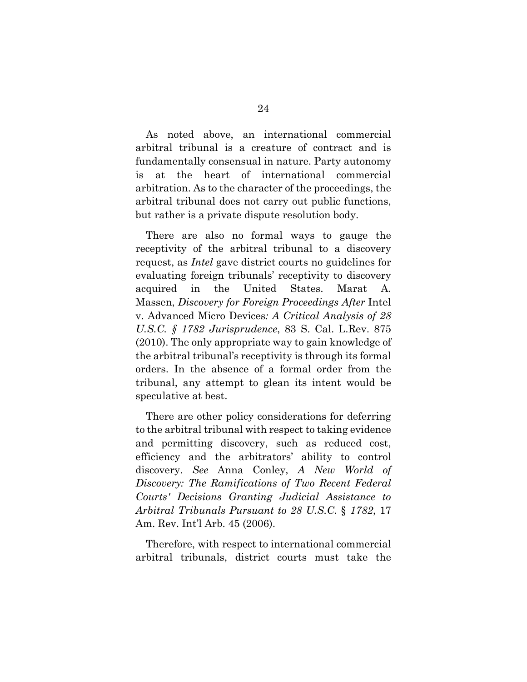As noted above, an international commercial arbitral tribunal is a creature of contract and is fundamentally consensual in nature. Party autonomy is at the heart of international commercial arbitration. As to the character of the proceedings, the arbitral tribunal does not carry out public functions, but rather is a private dispute resolution body.

There are also no formal ways to gauge the receptivity of the arbitral tribunal to a discovery request, as *Intel* gave district courts no guidelines for evaluating foreign tribunals' receptivity to discovery acquired in the United States. Marat A. Massen, *Discovery for Foreign Proceedings After* Intel v. Advanced Micro Devices*: A Critical Analysis of 28 U.S.C. § 1782 Jurisprudence*, 83 S. Cal. L.Rev. 875 (2010). The only appropriate way to gain knowledge of the arbitral tribunal's receptivity is through its formal orders. In the absence of a formal order from the tribunal, any attempt to glean its intent would be speculative at best.

There are other policy considerations for deferring to the arbitral tribunal with respect to taking evidence and permitting discovery, such as reduced cost, efficiency and the arbitrators' ability to control discovery. *See* Anna Conley, *A New World of Discovery: The Ramifications of Two Recent Federal Courts' Decisions Granting Judicial Assistance to Arbitral Tribunals Pursuant to 28 U.S.C.* § *1782*, 17 Am. Rev. Int'l Arb. 45 (2006).

Therefore, with respect to international commercial arbitral tribunals, district courts must take the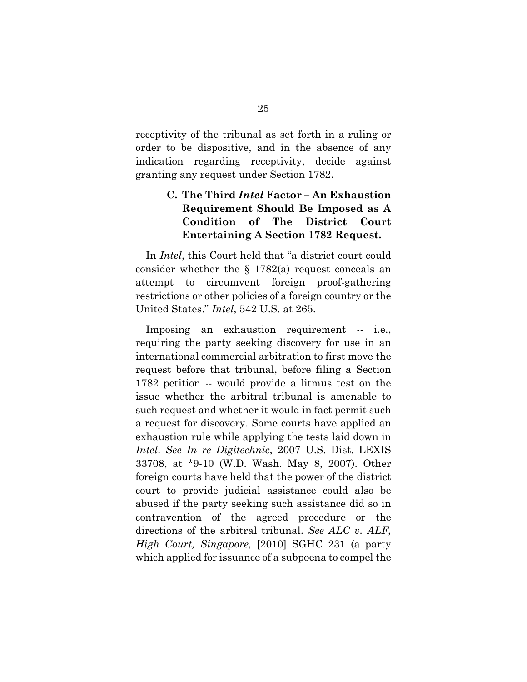receptivity of the tribunal as set forth in a ruling or order to be dispositive, and in the absence of any indication regarding receptivity, decide against granting any request under Section 1782.

### **C. The Third** *Intel* **Factor – An Exhaustion Requirement Should Be Imposed as A Condition of The District Court Entertaining A Section 1782 Request.**

In *Intel*, this Court held that "a district court could consider whether the § 1782(a) request conceals an attempt to circumvent foreign proof-gathering restrictions or other policies of a foreign country or the United States." *Intel*, 542 U.S. at 265.

Imposing an exhaustion requirement -- i.e., requiring the party seeking discovery for use in an international commercial arbitration to first move the request before that tribunal, before filing a Section 1782 petition -- would provide a litmus test on the issue whether the arbitral tribunal is amenable to such request and whether it would in fact permit such a request for discovery. Some courts have applied an exhaustion rule while applying the tests laid down in *Intel*. *See In re Digitechnic*, 2007 U.S. Dist. LEXIS 33708, at \*9-10 (W.D. Wash. May 8, 2007). Other foreign courts have held that the power of the district court to provide judicial assistance could also be abused if the party seeking such assistance did so in contravention of the agreed procedure or the directions of the arbitral tribunal. *See ALC v. ALF, High Court, Singapore,* [2010] SGHC 231 (a party which applied for issuance of a subpoena to compel the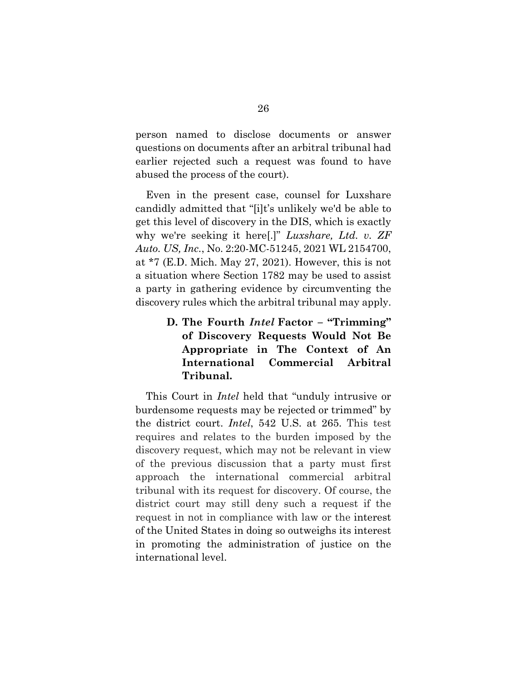person named to disclose documents or answer questions on documents after an arbitral tribunal had earlier rejected such a request was found to have abused the process of the court).

Even in the present case, counsel for Luxshare candidly admitted that "[i]t's unlikely we'd be able to get this level of discovery in the DIS, which is exactly why we're seeking it here[.]" *Luxshare, Ltd. v. ZF Auto. US, Inc.*, No. 2:20-MC-51245, 2021 WL 2154700, at \*7 (E.D. Mich. May 27, 2021). However, this is not a situation where Section 1782 may be used to assist a party in gathering evidence by circumventing the discovery rules which the arbitral tribunal may apply.

## **D. The Fourth** *Intel* **Factor – "Trimming" of Discovery Requests Would Not Be Appropriate in The Context of An International Commercial Arbitral Tribunal.**

This Court in *Intel* held that "unduly intrusive or burdensome requests may be rejected or trimmed" by the district court. *Intel*, 542 U.S. at 265. This test requires and relates to the burden imposed by the discovery request, which may not be relevant in view of the previous discussion that a party must first approach the international commercial arbitral tribunal with its request for discovery. Of course, the district court may still deny such a request if the request in not in compliance with law or the interest of the United States in doing so outweighs its interest in promoting the administration of justice on the international level.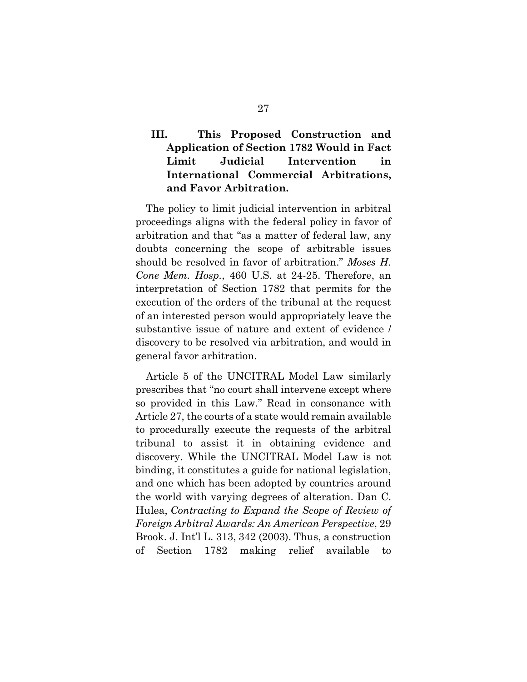## **III. This Proposed Construction and Application of Section 1782 Would in Fact Limit Judicial Intervention in International Commercial Arbitrations, and Favor Arbitration.**

The policy to limit judicial intervention in arbitral proceedings aligns with the federal policy in favor of arbitration and that "as a matter of federal law, any doubts concerning the scope of arbitrable issues should be resolved in favor of arbitration." *Moses H. Cone Mem. Hosp.*, 460 U.S. at 24-25. Therefore, an interpretation of Section 1782 that permits for the execution of the orders of the tribunal at the request of an interested person would appropriately leave the substantive issue of nature and extent of evidence / discovery to be resolved via arbitration, and would in general favor arbitration.

Article 5 of the UNCITRAL Model Law similarly prescribes that "no court shall intervene except where so provided in this Law." Read in consonance with Article 27, the courts of a state would remain available to procedurally execute the requests of the arbitral tribunal to assist it in obtaining evidence and discovery. While the UNCITRAL Model Law is not binding, it constitutes a guide for national legislation, and one which has been adopted by countries around the world with varying degrees of alteration. Dan C. Hulea, *Contracting to Expand the Scope of Review of Foreign Arbitral Awards: An American Perspective*, 29 Brook. J. Int'l L. 313, 342 (2003). Thus, a construction of Section 1782 making relief available to